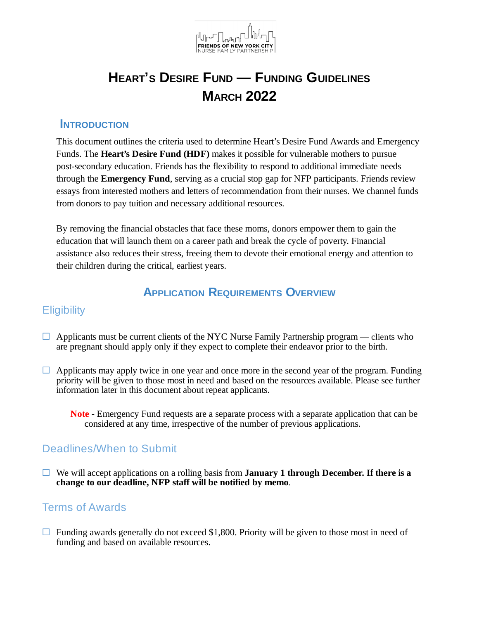

### **INTRODUCTION**

This document outlines the criteria used to determine Heart's Desire Fund Awards and Emergency Funds. The **Heart's Desire Fund (HDF)** makes it possible for vulnerable mothers to pursue post-secondary education. Friends has the flexibility to respond to additional immediate needs through the **Emergency Fund**, serving as a crucial stop gap for NFP participants. Friends review essays from interested mothers and letters of recommendation from their nurses. We channel funds from donors to pay tuition and necessary additional resources.

By removing the financial obstacles that face these moms, donors empower them to gain the education that will launch them on a career path and break the cycle of poverty. Financial assistance also reduces their stress, freeing them to devote their emotional energy and attention to their children during the critical, earliest years.

## **APPLICATION REQUIREMENTS OVERVIEW**

#### **Eligibility**

- $\Box$  Applicants must be current clients of the NYC Nurse Family Partnership program clients who are pregnant should apply only if they expect to complete their endeavor prior to the birth.
- $\Box$  Applicants may apply twice in one year and once more in the second year of the program. Funding priority will be given to those most in need and based on the resources available. Please see further information later in this document about repeat applicants.
	- **Note** Emergency Fund requests are a separate process with a separate application that can be considered at any time, irrespective of the number of previous applications.

### Deadlines/When to Submit

☐ We will accept applications on a rolling basis from **January 1 through December. If there is a change to our deadline, NFP staff will be notified by memo**.

### Terms of Awards

 $\Box$  Funding awards generally do not exceed \$1,800. Priority will be given to those most in need of funding and based on available resources.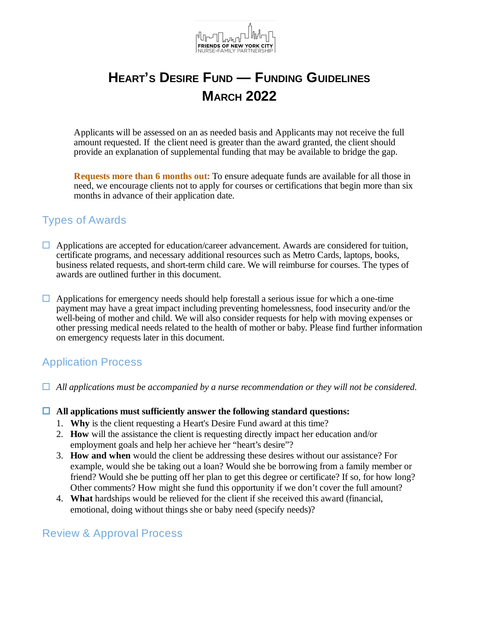

Applicants will be assessed on an as needed basis and Applicants may not receive the full amount requested. If the client need is greater than the award granted, the client should provide an explanation of supplemental funding that may be available to bridge the gap.

**Requests more than 6 months out:** To ensure adequate funds are available for all those in need, we encourage clients not to apply for courses or certifications that begin more than six months in advance of their application date.

### Types of Awards

- $\Box$  Applications are accepted for education/career advancement. Awards are considered for tuition, certificate programs, and necessary additional resources such as Metro Cards, laptops, books, business related requests, and short-term child care. We will reimburse for courses. The types of awards are outlined further in this document.
- $\Box$  Applications for emergency needs should help forestall a serious issue for which a one-time payment may have a great impact including preventing homelessness, food insecurity and/or the well-being of mother and child. We will also consider requests for help with moving expenses or other pressing medical needs related to the health of mother or baby. Please find further information on emergency requests later in this document.

## Application Process

- ☐ *All applications must be accompanied by a nurse recommendation or they will not be considered.*
- ☐ **All applications must sufficiently answer the following standard questions:**
	- 1. **Why** is the client requesting a Heart's Desire Fund award at this time?
	- 2. **How** will the assistance the client is requesting directly impact her education and/or employment goals and help her achieve her "heart's desire"?
	- 3. **How and when** would the client be addressing these desires without our assistance? For example, would she be taking out a loan? Would she be borrowing from a family member or friend? Would she be putting off her plan to get this degree or certificate? If so, for how long? Other comments? How might she fund this opportunity if we don't cover the full amount?
	- 4. **What** hardships would be relieved for the client if she received this award (financial, emotional, doing without things she or baby need (specify needs)?

### Review & Approval Process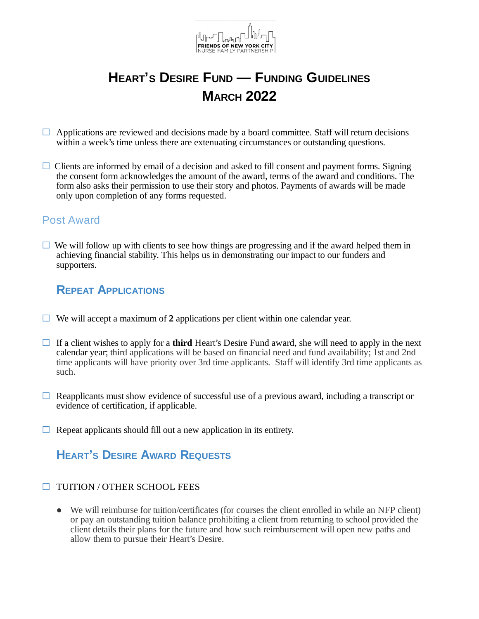

- $\Box$  Applications are reviewed and decisions made by a board committee. Staff will return decisions within a week's time unless there are extenuating circumstances or outstanding questions.
- $\Box$  Clients are informed by email of a decision and asked to fill consent and payment forms. Signing the consent form acknowledges the amount of the award, terms of the award and conditions. The form also asks their permission to use their story and photos. Payments of awards will be made only upon completion of any forms requested.

### Post Award

 $\Box$  We will follow up with clients to see how things are progressing and if the award helped them in achieving financial stability. This helps us in demonstrating our impact to our funders and supporters.

## **REPEAT APPLICATIONS**

- ☐ We will accept a maximum of **2** applications per client within one calendar year.
- ☐ If a client wishes to apply for a **third** Heart's Desire Fund award, she will need to apply in the next calendar year; third applications will be based on financial need and fund availability; 1st and 2nd time applicants will have priority over 3rd time applicants. Staff will identify 3rd time applicants as such.
- $\Box$  Reapplicants must show evidence of successful use of a previous award, including a transcript or evidence of certification, if applicable.
- $\Box$  Repeat applicants should fill out a new application in its entirety.

# **HEART'<sup>S</sup> DESIRE AWARD REQUESTS**

- ☐ TUITION / OTHER SCHOOL FEES
	- We will reimburse for tuition/certificates (for courses the client enrolled in while an NFP client) or pay an outstanding tuition balance prohibiting a client from returning to school provided the client details their plans for the future and how such reimbursement will open new paths and allow them to pursue their Heart's Desire.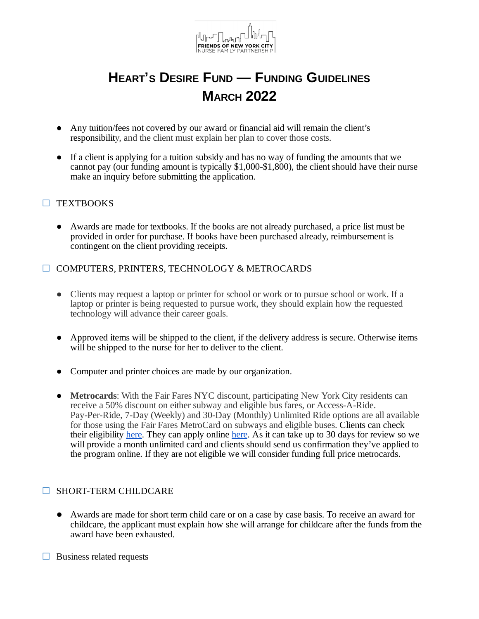

- Any tuition/fees not covered by our award or financial aid will remain the client's responsibility, and the client must explain her plan to cover those costs.
- If a client is applying for a tuition subsidy and has no way of funding the amounts that we cannot pay (our funding amount is typically \$1,000-\$1,800), the client should have their nurse make an inquiry before submitting the application.

#### ☐ TEXTBOOKS

● Awards are made for textbooks. If the books are not already purchased, a price list must be provided in order for purchase. If books have been purchased already, reimbursement is contingent on the client providing receipts.

#### ☐ COMPUTERS, PRINTERS, TECHNOLOGY & METROCARDS

- Clients may request a laptop or printer for school or work or to pursue school or work. If a laptop or printer is being requested to pursue work, they should explain how the requested technology will advance their career goals.
- Approved items will be shipped to the client, if the delivery address is secure. Otherwise items will be shipped to the nurse for her to deliver to the client.
- Computer and printer choices are made by our organization.
- **Metrocards**: With the Fair Fares NYC discount, participating New York City residents can receive a 50% discount on either subway and eligible bus fares, or Access-A-Ride. Pay-Per-Ride, 7-Day (Weekly) and 30-Day (Monthly) Unlimited Ride options are all available for those using the Fair Fares MetroCard on subways and eligible buses. Clients can check their eligibility [here.](https://www1.nyc.gov/site/fairfares/index.page) They can apply online [here](https://www1.nyc.gov/assets/fairfares/downloads/pdf/application/Fair-Fares-Application-English.pdf). As it can take up to 30 days for review so we will provide a month unlimited card and clients should send us confirmation they've applied to the program online. If they are not eligible we will consider funding full price metrocards.

#### □ SHORT-TERM CHILDCARE

- Awards are made for short term child care or on a case by case basis. To receive an award for childcare, the applicant must explain how she will arrange for childcare after the funds from the award have been exhausted.
- $\Box$  Business related requests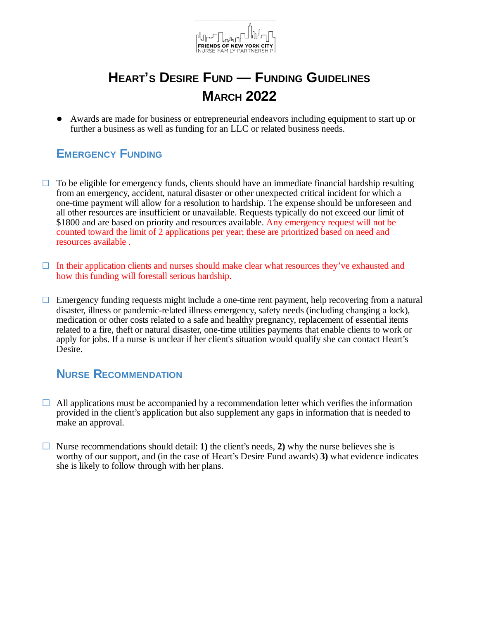

● Awards are made for business or entrepreneurial endeavors including equipment to start up or further a business as well as funding for an LLC or related business needs.

# **EMERGENCY FUNDING**

- $\Box$  To be eligible for emergency funds, clients should have an immediate financial hardship resulting from an emergency, accident, natural disaster or other unexpected critical incident for which a one-time payment will allow for a resolution to hardship. The expense should be unforeseen and all other resources are insufficient or unavailable. Requests typically do not exceed our limit of \$1800 and are based on priority and resources available. Any emergency request will not be counted toward the limit of 2 applications per year; these are prioritized based on need and resources available .
- □ In their application clients and nurses should make clear what resources they've exhausted and how this funding will forestall serious hardship.
- $\Box$  Emergency funding requests might include a one-time rent payment, help recovering from a natural disaster, illness or pandemic-related illness emergency, safety needs (including changing a lock), medication or other costs related to a safe and healthy pregnancy, replacement of essential items related to a fire, theft or natural disaster, one-time utilities payments that enable clients to work or apply for jobs. If a nurse is unclear if her client's situation would qualify she can contact Heart's Desire.

## **NURSE RECOMMENDATION**

- $\Box$  All applications must be accompanied by a recommendation letter which verifies the information provided in the client's application but also supplement any gaps in information that is needed to make an approval.
- ☐ Nurse recommendations should detail: **1)** the client's needs, **2)** why the nurse believes she is worthy of our support, and (in the case of Heart's Desire Fund awards) **3)** what evidence indicates she is likely to follow through with her plans.